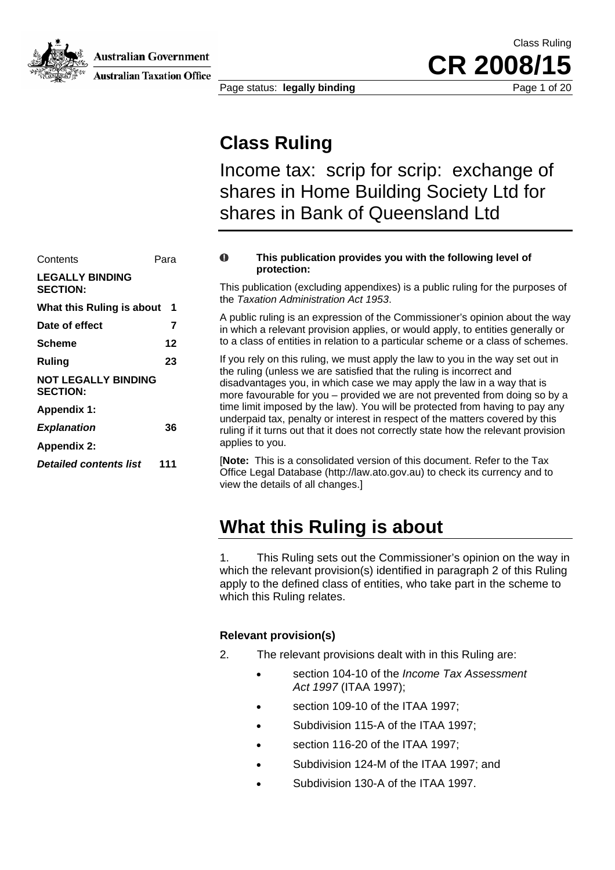**Australian Government** 

**Australian Taxation Office** 

Class Ruling CR 2008/

Page status: **legally binding Page 1 of 20** 

### **Class Ruling**

Income tax: scrip for scrip: exchange of shares in Home Building Society Ltd for shares in Bank of Queensland Ltd

| Contents                                      | O   |                         |
|-----------------------------------------------|-----|-------------------------|
| <b>LEGALLY BINDING</b><br><b>SECTION:</b>     |     | This p<br>the $T_1$     |
| What this Ruling is about 1                   |     |                         |
| Date of effect                                | 7   | A pub<br>in whi         |
| <b>Scheme</b>                                 | 12  | to a c                  |
| Ruling                                        | 23  | If you                  |
| <b>NOT LEGALLY BINDING</b><br><b>SECTION:</b> |     | the ru<br>disad<br>more |
| <b>Appendix 1:</b>                            |     | time I                  |
| <b>Explanation</b>                            | 36  | under<br>ruling         |
| <b>Appendix 2:</b>                            |     | applie                  |
| <b>Detailed contents list</b>                 | 111 | [Note<br>Office         |

#### o **This publication provides you with the following level of protection:**

This publication (excluding appendixes) is a public ruling for the purposes of the *Taxation Administration Act 1953*.

A public ruling is an expression of the Commissioner's opinion about the way in which a relevant provision applies, or would apply, to entities generally or **Scheme 12** 12 to a class of entities in relation to a particular scheme or a class of schemes.

> If you rely on this ruling, we must apply the law to you in the way set out in the ruling (unless we are satisfied that the ruling is incorrect and disadvantages you, in which case we may apply the law in a way that is more favourable for you – provided we are not prevented from doing so by a time limit imposed by the law). You will be protected from having to pay any underpaid tax, penalty or interest in respect of the matters covered by this ruling if it turns out that it does not correctly state how the relevant provision applies to you.

[**Note:** This is a consolidated version of this document. Refer to the Tax Office Legal Database (http://law.ato.gov.au) to check its currency and to view the details of all changes.]

### **What this Ruling is about**

1. This Ruling sets out the Commissioner's opinion on the way in which the relevant provision(s) identified in paragraph 2 of this Ruling apply to the defined class of entities, who take part in the scheme to which this Ruling relates.

### **Relevant provision(s)**

- 2. The relevant provisions dealt with in this Ruling are:
	- section 104-10 of the *Income Tax Assessment Act 1997* (ITAA 1997);
	- section 109-10 of the ITAA 1997;
	- Subdivision 115-A of the ITAA 1997;
	- section 116-20 of the ITAA 1997;
	- Subdivision 124-M of the ITAA 1997; and
	- Subdivision 130-A of the ITAA 1997.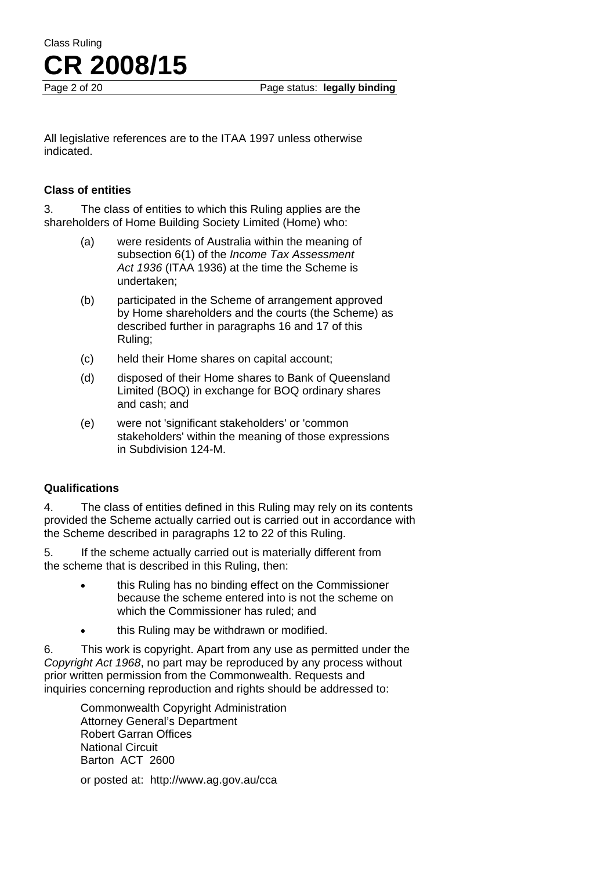**CR 2008/15**

Page 2 of 20 **Page status: legally binding** 

All legislative references are to the ITAA 1997 unless otherwise indicated.

#### **Class of entities**

Class Ruling

3. The class of entities to which this Ruling applies are the shareholders of Home Building Society Limited (Home) who:

- (a) were residents of Australia within the meaning of subsection 6(1) of the *Income Tax Assessment Act 1936* (ITAA 1936) at the time the Scheme is undertaken;
- (b) participated in the Scheme of arrangement approved by Home shareholders and the courts (the Scheme) as described further in paragraphs 16 and 17 of this Ruling;
- (c) held their Home shares on capital account;
- (d) disposed of their Home shares to Bank of Queensland Limited (BOQ) in exchange for BOQ ordinary shares and cash; and
- (e) were not 'significant stakeholders' or 'common stakeholders' within the meaning of those expressions in Subdivision 124-M.

#### **Qualifications**

4. The class of entities defined in this Ruling may rely on its contents provided the Scheme actually carried out is carried out in accordance with the Scheme described in paragraphs 12 to 22 of this Ruling.

5. If the scheme actually carried out is materially different from the scheme that is described in this Ruling, then:

- this Ruling has no binding effect on the Commissioner because the scheme entered into is not the scheme on which the Commissioner has ruled; and
- this Ruling may be withdrawn or modified.

6. This work is copyright. Apart from any use as permitted under the *Copyright Act 1968*, no part may be reproduced by any process without prior written permission from the Commonwealth. Requests and inquiries concerning reproduction and rights should be addressed to:

Commonwealth Copyright Administration Attorney General's Department Robert Garran Offices National Circuit Barton ACT 2600

or posted at: http://www.ag.gov.au/cca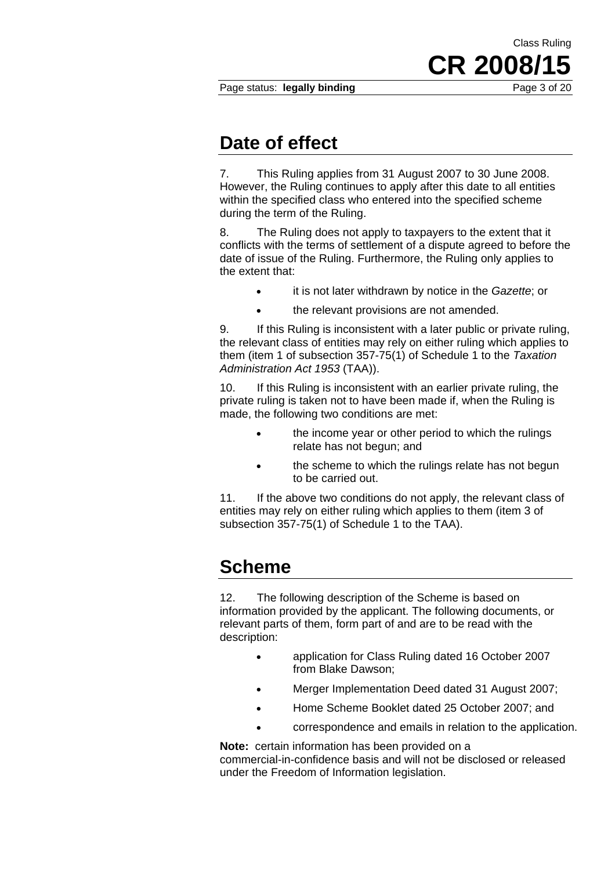Page status: **legally binding** Page 3 of 20

**CR 2008/** 

Class Ruling

### **Date of effect**

7. This Ruling applies from 31 August 2007 to 30 June 2008. However, the Ruling continues to apply after this date to all entities within the specified class who entered into the specified scheme during the term of the Ruling.

8. The Ruling does not apply to taxpayers to the extent that it conflicts with the terms of settlement of a dispute agreed to before the date of issue of the Ruling. Furthermore, the Ruling only applies to the extent that:

- it is not later withdrawn by notice in the *Gazette*; or
- the relevant provisions are not amended.

9. If this Ruling is inconsistent with a later public or private ruling, the relevant class of entities may rely on either ruling which applies to them (item 1 of subsection 357-75(1) of Schedule 1 to the *Taxation Administration Act 1953* (TAA)).

10. If this Ruling is inconsistent with an earlier private ruling, the private ruling is taken not to have been made if, when the Ruling is made, the following two conditions are met:

- the income year or other period to which the rulings relate has not begun; and
- the scheme to which the rulings relate has not begun to be carried out.

11. If the above two conditions do not apply, the relevant class of entities may rely on either ruling which applies to them (item 3 of subsection 357-75(1) of Schedule 1 to the TAA).

### **Scheme**

12. The following description of the Scheme is based on information provided by the applicant. The following documents, or relevant parts of them, form part of and are to be read with the description:

- application for Class Ruling dated 16 October 2007 from Blake Dawson;
- Merger Implementation Deed dated 31 August 2007;
- Home Scheme Booklet dated 25 October 2007; and
- correspondence and emails in relation to the application.

**Note:** certain information has been provided on a commercial-in-confidence basis and will not be disclosed or released under the Freedom of Information legislation.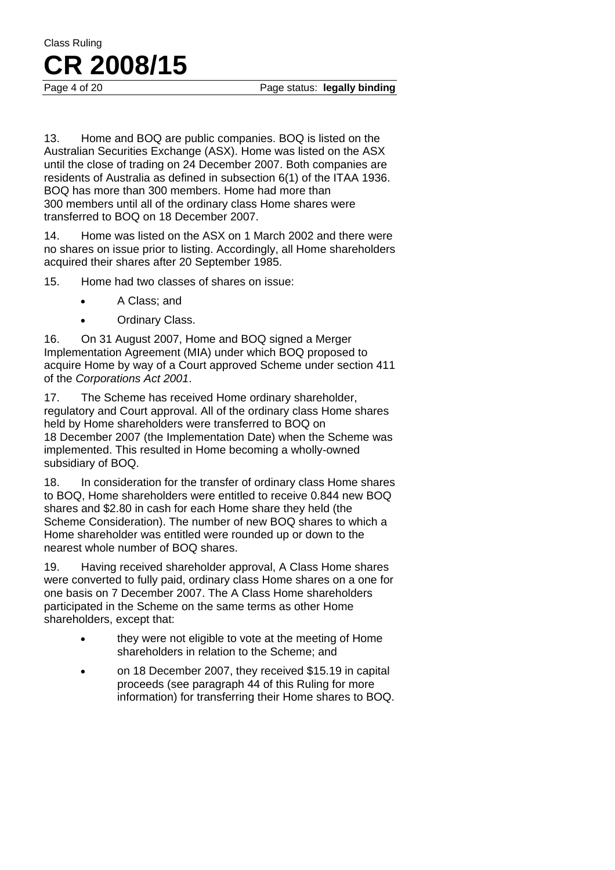Page 4 of 20 **Page status: legally binding** 

13. Home and BOQ are public companies. BOQ is listed on the Australian Securities Exchange (ASX). Home was listed on the ASX until the close of trading on 24 December 2007. Both companies are residents of Australia as defined in subsection 6(1) of the ITAA 1936. BOQ has more than 300 members. Home had more than 300 members until all of the ordinary class Home shares were transferred to BOQ on 18 December 2007.

14. Home was listed on the ASX on 1 March 2002 and there were no shares on issue prior to listing. Accordingly, all Home shareholders acquired their shares after 20 September 1985.

15. Home had two classes of shares on issue:

- A Class; and
- Ordinary Class.

16. On 31 August 2007, Home and BOQ signed a Merger Implementation Agreement (MIA) under which BOQ proposed to acquire Home by way of a Court approved Scheme under section 411 of the *Corporations Act 2001*.

17. The Scheme has received Home ordinary shareholder, regulatory and Court approval. All of the ordinary class Home shares held by Home shareholders were transferred to BOQ on 18 December 2007 (the Implementation Date) when the Scheme was implemented. This resulted in Home becoming a wholly-owned subsidiary of BOQ.

18. In consideration for the transfer of ordinary class Home shares to BOQ, Home shareholders were entitled to receive 0.844 new BOQ shares and \$2.80 in cash for each Home share they held (the Scheme Consideration). The number of new BOQ shares to which a Home shareholder was entitled were rounded up or down to the nearest whole number of BOQ shares.

19. Having received shareholder approval, A Class Home shares were converted to fully paid, ordinary class Home shares on a one for one basis on 7 December 2007. The A Class Home shareholders participated in the Scheme on the same terms as other Home shareholders, except that:

- they were not eligible to vote at the meeting of Home shareholders in relation to the Scheme; and
- on 18 December 2007, they received \$15.19 in capital proceeds (see paragraph 44 of this Ruling for more information) for transferring their Home shares to BOQ.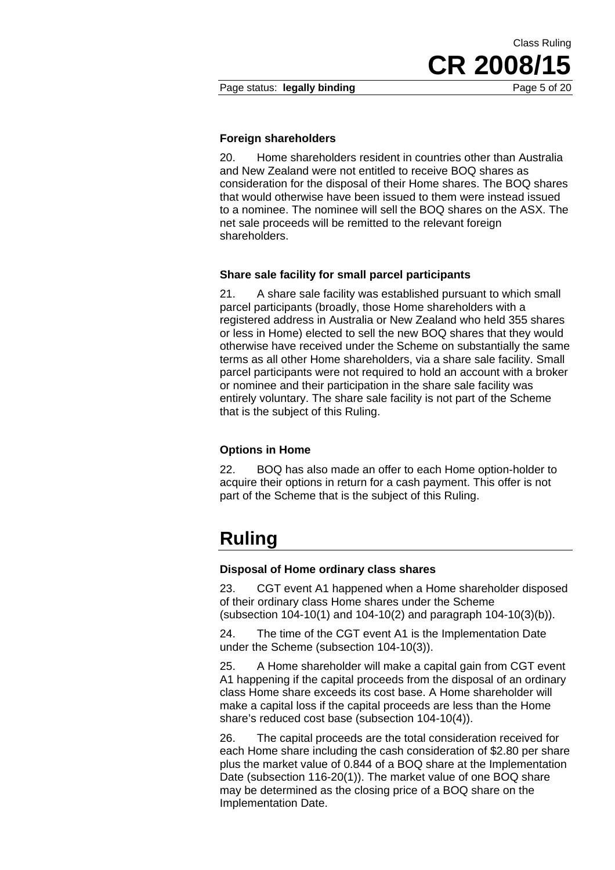CR 2008/

Class Ruling

#### **Foreign shareholders**

20. Home shareholders resident in countries other than Australia and New Zealand were not entitled to receive BOQ shares as consideration for the disposal of their Home shares. The BOQ shares that would otherwise have been issued to them were instead issued to a nominee. The nominee will sell the BOQ shares on the ASX. The net sale proceeds will be remitted to the relevant foreign shareholders.

#### **Share sale facility for small parcel participants**

21. A share sale facility was established pursuant to which small parcel participants (broadly, those Home shareholders with a registered address in Australia or New Zealand who held 355 shares or less in Home) elected to sell the new BOQ shares that they would otherwise have received under the Scheme on substantially the same terms as all other Home shareholders, via a share sale facility. Small parcel participants were not required to hold an account with a broker or nominee and their participation in the share sale facility was entirely voluntary. The share sale facility is not part of the Scheme that is the subject of this Ruling.

#### **Options in Home**

22. BOQ has also made an offer to each Home option-holder to acquire their options in return for a cash payment. This offer is not part of the Scheme that is the subject of this Ruling.

### **Ruling**

#### **Disposal of Home ordinary class shares**

23. CGT event A1 happened when a Home shareholder disposed of their ordinary class Home shares under the Scheme (subsection 104-10(1) and 104-10(2) and paragraph 104-10(3)(b)).

24. The time of the CGT event A1 is the Implementation Date under the Scheme (subsection 104-10(3)).

25. A Home shareholder will make a capital gain from CGT event A1 happening if the capital proceeds from the disposal of an ordinary class Home share exceeds its cost base. A Home shareholder will make a capital loss if the capital proceeds are less than the Home share's reduced cost base (subsection 104-10(4)).

26. The capital proceeds are the total consideration received for each Home share including the cash consideration of \$2.80 per share plus the market value of 0.844 of a BOQ share at the Implementation Date (subsection 116-20(1)). The market value of one BOQ share may be determined as the closing price of a BOQ share on the Implementation Date.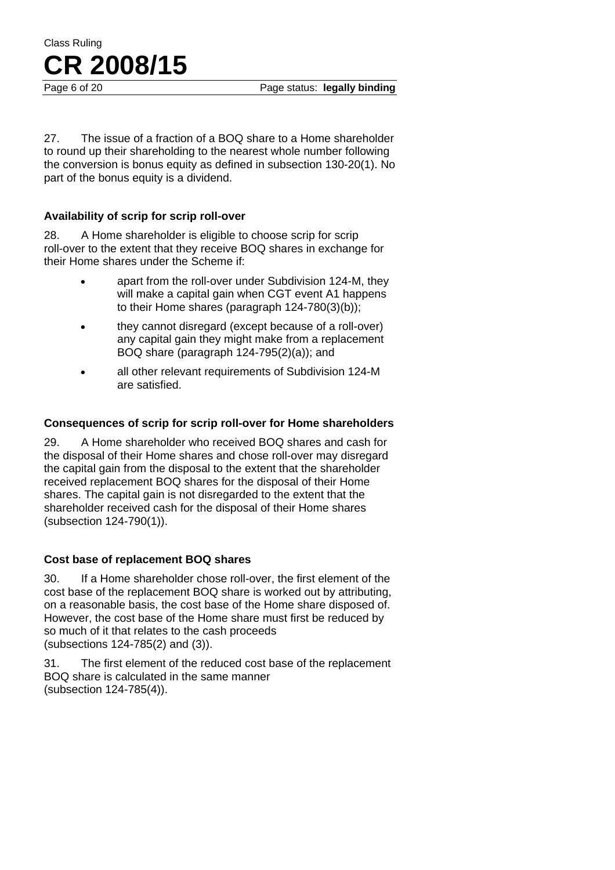Page 6 of 20 **Page status: legally binding** 

27. The issue of a fraction of a BOQ share to a Home shareholder to round up their shareholding to the nearest whole number following the conversion is bonus equity as defined in subsection 130-20(1). No part of the bonus equity is a dividend.

#### **Availability of scrip for scrip roll-over**

28. A Home shareholder is eligible to choose scrip for scrip roll-over to the extent that they receive BOQ shares in exchange for their Home shares under the Scheme if:

- apart from the roll-over under Subdivision 124-M, they will make a capital gain when CGT event A1 happens to their Home shares (paragraph 124-780(3)(b));
- they cannot disregard (except because of a roll-over) any capital gain they might make from a replacement BOQ share (paragraph 124-795(2)(a)); and
- all other relevant requirements of Subdivision 124-M are satisfied.

#### **Consequences of scrip for scrip roll-over for Home shareholders**

29. A Home shareholder who received BOQ shares and cash for the disposal of their Home shares and chose roll-over may disregard the capital gain from the disposal to the extent that the shareholder received replacement BOQ shares for the disposal of their Home shares. The capital gain is not disregarded to the extent that the shareholder received cash for the disposal of their Home shares (subsection 124-790(1)).

#### **Cost base of replacement BOQ shares**

30. If a Home shareholder chose roll-over, the first element of the cost base of the replacement BOQ share is worked out by attributing, on a reasonable basis, the cost base of the Home share disposed of. However, the cost base of the Home share must first be reduced by so much of it that relates to the cash proceeds (subsections 124-785(2) and (3)).

31. The first element of the reduced cost base of the replacement BOQ share is calculated in the same manner (subsection 124-785(4)).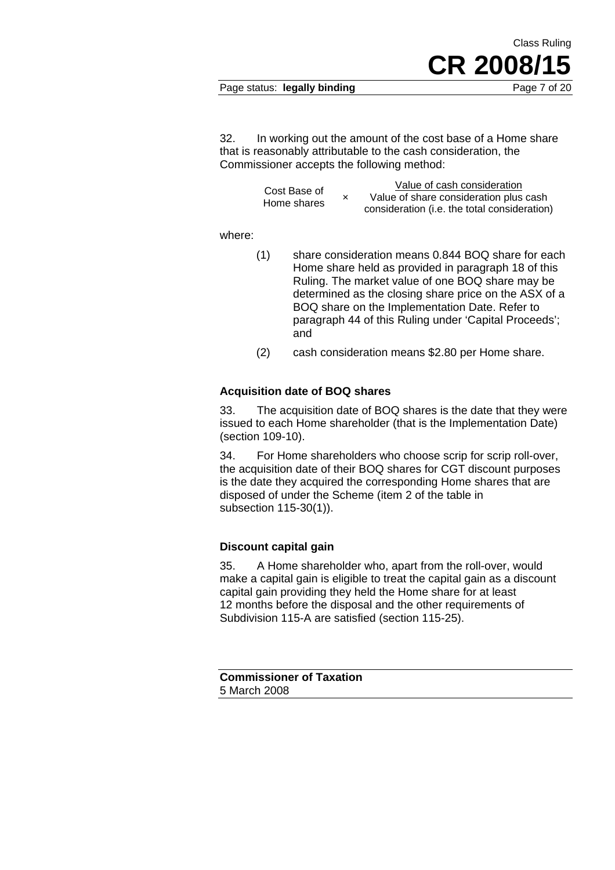#### Page status: **legally binding** Page 7 of 20

Class Ruling

CR 2008/

32. In working out the amount of the cost base of a Home share that is reasonably attributable to the cash consideration, the Commissioner accepts the following method:

| Cost Base of | Value of cash consideration                  |
|--------------|----------------------------------------------|
|              | Value of share consideration plus cash       |
| Home shares  | consideration (i.e. the total consideration) |

where:

- (1) share consideration means 0.844 BOQ share for each Home share held as provided in paragraph 18 of this Ruling. The market value of one BOQ share may be determined as the closing share price on the ASX of a BOQ share on the Implementation Date. Refer to paragraph 44 of this Ruling under 'Capital Proceeds'; and
- (2) cash consideration means \$2.80 per Home share.

#### **Acquisition date of BOQ shares**

33. The acquisition date of BOQ shares is the date that they were issued to each Home shareholder (that is the Implementation Date) (section 109-10).

34. For Home shareholders who choose scrip for scrip roll-over, the acquisition date of their BOQ shares for CGT discount purposes is the date they acquired the corresponding Home shares that are disposed of under the Scheme (item 2 of the table in subsection 115-30(1)).

#### **Discount capital gain**

35. A Home shareholder who, apart from the roll-over, would make a capital gain is eligible to treat the capital gain as a discount capital gain providing they held the Home share for at least 12 months before the disposal and the other requirements of Subdivision 115-A are satisfied (section 115-25).

**Commissioner of Taxation**  5 March 2008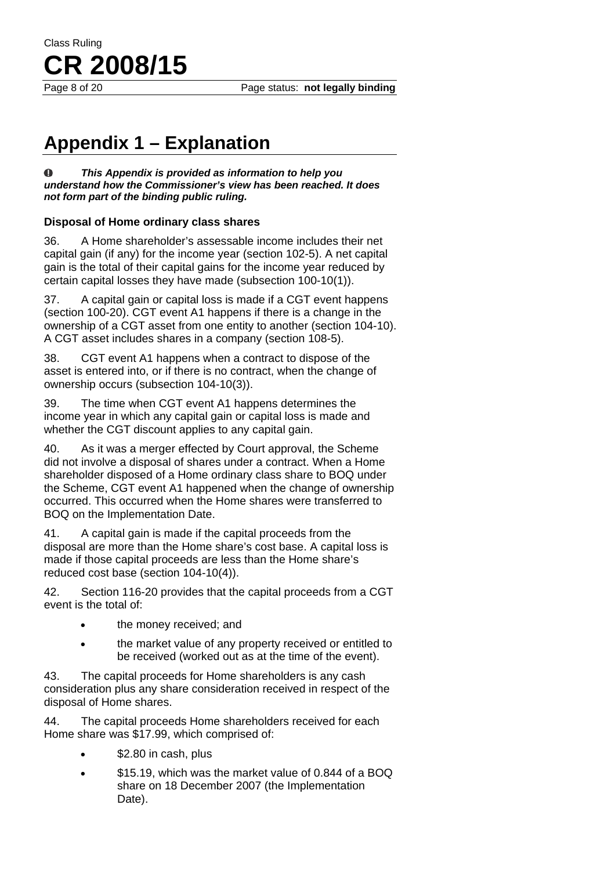Page 8 of 20 **Page status: not legally binding** 

# **Appendix 1 – Explanation**

Class Ruling

**CR 2008/15**

 $\bf{0}$ *This Appendix is provided as information to help you understand how the Commissioner's view has been reached. It does not form part of the binding public ruling.* 

#### **Disposal of Home ordinary class shares**

36. A Home shareholder's assessable income includes their net capital gain (if any) for the income year (section 102-5). A net capital gain is the total of their capital gains for the income year reduced by certain capital losses they have made (subsection 100-10(1)).

37. A capital gain or capital loss is made if a CGT event happens (section 100-20). CGT event A1 happens if there is a change in the ownership of a CGT asset from one entity to another (section 104-10). A CGT asset includes shares in a company (section 108-5).

38. CGT event A1 happens when a contract to dispose of the asset is entered into, or if there is no contract, when the change of ownership occurs (subsection 104-10(3)).

39. The time when CGT event A1 happens determines the income year in which any capital gain or capital loss is made and whether the CGT discount applies to any capital gain.

40. As it was a merger effected by Court approval, the Scheme did not involve a disposal of shares under a contract. When a Home shareholder disposed of a Home ordinary class share to BOQ under the Scheme, CGT event A1 happened when the change of ownership occurred. This occurred when the Home shares were transferred to BOQ on the Implementation Date.

41. A capital gain is made if the capital proceeds from the disposal are more than the Home share's cost base. A capital loss is made if those capital proceeds are less than the Home share's reduced cost base (section 104-10(4)).

42. Section 116-20 provides that the capital proceeds from a CGT event is the total of:

- the money received; and
- the market value of any property received or entitled to be received (worked out as at the time of the event).

43. The capital proceeds for Home shareholders is any cash consideration plus any share consideration received in respect of the disposal of Home shares.

44. The capital proceeds Home shareholders received for each Home share was \$17.99, which comprised of:

- \$2.80 in cash, plus
- \$15.19, which was the market value of 0.844 of a BOQ share on 18 December 2007 (the Implementation Date).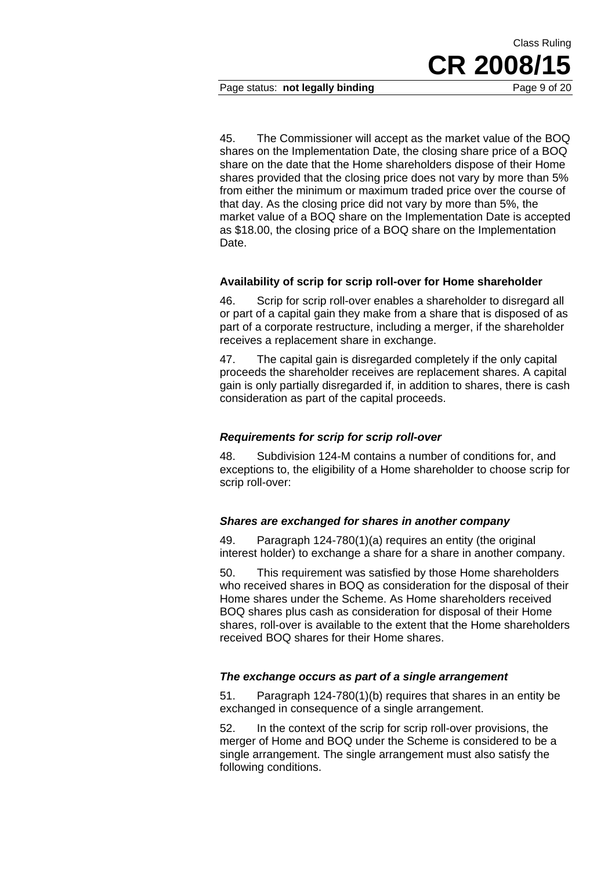Page status: **not legally binding** Page 9 of 20

**CR 2008** 

Class Ruling

45. The Commissioner will accept as the market value of the BOQ shares on the Implementation Date, the closing share price of a BOQ share on the date that the Home shareholders dispose of their Home shares provided that the closing price does not vary by more than 5% from either the minimum or maximum traded price over the course of that day. As the closing price did not vary by more than 5%, the market value of a BOQ share on the Implementation Date is accepted as \$18.00, the closing price of a BOQ share on the Implementation Date.

#### **Availability of scrip for scrip roll-over for Home shareholder**

46. Scrip for scrip roll-over enables a shareholder to disregard all or part of a capital gain they make from a share that is disposed of as part of a corporate restructure, including a merger, if the shareholder receives a replacement share in exchange.

47. The capital gain is disregarded completely if the only capital proceeds the shareholder receives are replacement shares. A capital gain is only partially disregarded if, in addition to shares, there is cash consideration as part of the capital proceeds.

#### *Requirements for scrip for scrip roll-over*

48. Subdivision 124-M contains a number of conditions for, and exceptions to, the eligibility of a Home shareholder to choose scrip for scrip roll-over:

#### *Shares are exchanged for shares in another company*

49. Paragraph 124-780(1)(a) requires an entity (the original interest holder) to exchange a share for a share in another company.

50. This requirement was satisfied by those Home shareholders who received shares in BOQ as consideration for the disposal of their Home shares under the Scheme. As Home shareholders received BOQ shares plus cash as consideration for disposal of their Home shares, roll-over is available to the extent that the Home shareholders received BOQ shares for their Home shares.

#### *The exchange occurs as part of a single arrangement*

51. Paragraph 124-780(1)(b) requires that shares in an entity be exchanged in consequence of a single arrangement.

52. In the context of the scrip for scrip roll-over provisions, the merger of Home and BOQ under the Scheme is considered to be a single arrangement. The single arrangement must also satisfy the following conditions.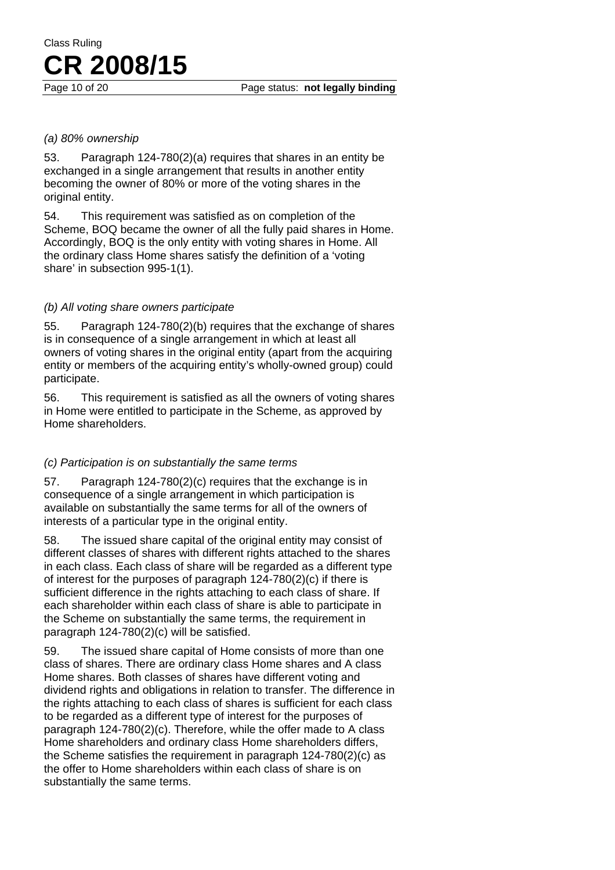#### *(a) 80% ownership*

53. Paragraph 124-780(2)(a) requires that shares in an entity be exchanged in a single arrangement that results in another entity becoming the owner of 80% or more of the voting shares in the original entity.

54. This requirement was satisfied as on completion of the Scheme, BOQ became the owner of all the fully paid shares in Home. Accordingly, BOQ is the only entity with voting shares in Home. All the ordinary class Home shares satisfy the definition of a 'voting share' in subsection 995-1(1).

#### *(b) All voting share owners participate*

55. Paragraph 124-780(2)(b) requires that the exchange of shares is in consequence of a single arrangement in which at least all owners of voting shares in the original entity (apart from the acquiring entity or members of the acquiring entity's wholly-owned group) could participate.

56. This requirement is satisfied as all the owners of voting shares in Home were entitled to participate in the Scheme, as approved by Home shareholders.

#### *(c) Participation is on substantially the same terms*

57. Paragraph 124-780(2)(c) requires that the exchange is in consequence of a single arrangement in which participation is available on substantially the same terms for all of the owners of interests of a particular type in the original entity.

58. The issued share capital of the original entity may consist of different classes of shares with different rights attached to the shares in each class. Each class of share will be regarded as a different type of interest for the purposes of paragraph 124-780(2)(c) if there is sufficient difference in the rights attaching to each class of share. If each shareholder within each class of share is able to participate in the Scheme on substantially the same terms, the requirement in paragraph 124-780(2)(c) will be satisfied.

59. The issued share capital of Home consists of more than one class of shares. There are ordinary class Home shares and A class Home shares. Both classes of shares have different voting and dividend rights and obligations in relation to transfer. The difference in the rights attaching to each class of shares is sufficient for each class to be regarded as a different type of interest for the purposes of paragraph 124-780(2)(c). Therefore, while the offer made to A class Home shareholders and ordinary class Home shareholders differs, the Scheme satisfies the requirement in paragraph 124-780(2)(c) as the offer to Home shareholders within each class of share is on substantially the same terms.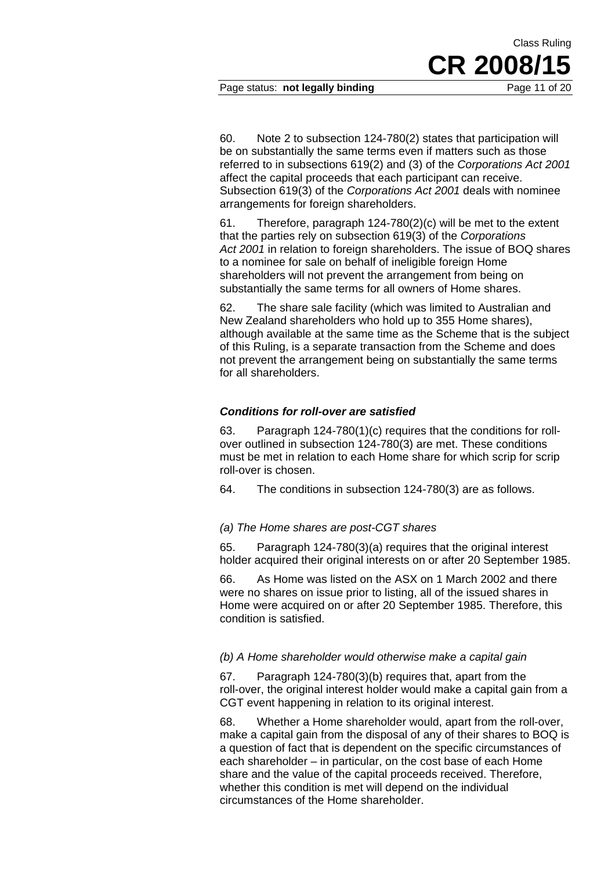Page status: **not legally binding** Page 11 of 20

CR 2008/1

Class Ruling

60. Note 2 to subsection 124-780(2) states that participation will be on substantially the same terms even if matters such as those referred to in subsections 619(2) and (3) of the *Corporations Act 2001*  affect the capital proceeds that each participant can receive. Subsection 619(3) of the *Corporations Act 2001* deals with nominee arrangements for foreign shareholders.

61. Therefore, paragraph 124-780(2)(c) will be met to the extent that the parties rely on subsection 619(3) of the *Corporations Act 2001* in relation to foreign shareholders. The issue of BOQ shares to a nominee for sale on behalf of ineligible foreign Home shareholders will not prevent the arrangement from being on substantially the same terms for all owners of Home shares.

62. The share sale facility (which was limited to Australian and New Zealand shareholders who hold up to 355 Home shares), although available at the same time as the Scheme that is the subject of this Ruling, is a separate transaction from the Scheme and does not prevent the arrangement being on substantially the same terms for all shareholders.

#### *Conditions for roll-over are satisfied*

63. Paragraph 124-780(1)(c) requires that the conditions for rollover outlined in subsection 124-780(3) are met. These conditions must be met in relation to each Home share for which scrip for scrip roll-over is chosen.

64. The conditions in subsection 124-780(3) are as follows.

#### *(a) The Home shares are post-CGT shares*

65. Paragraph 124-780(3)(a) requires that the original interest holder acquired their original interests on or after 20 September 1985.

66. As Home was listed on the ASX on 1 March 2002 and there were no shares on issue prior to listing, all of the issued shares in Home were acquired on or after 20 September 1985. Therefore, this condition is satisfied.

#### *(b) A Home shareholder would otherwise make a capital gain*

67. Paragraph 124-780(3)(b) requires that, apart from the roll-over, the original interest holder would make a capital gain from a CGT event happening in relation to its original interest.

68. Whether a Home shareholder would, apart from the roll-over, make a capital gain from the disposal of any of their shares to BOQ is a question of fact that is dependent on the specific circumstances of each shareholder – in particular, on the cost base of each Home share and the value of the capital proceeds received. Therefore, whether this condition is met will depend on the individual circumstances of the Home shareholder.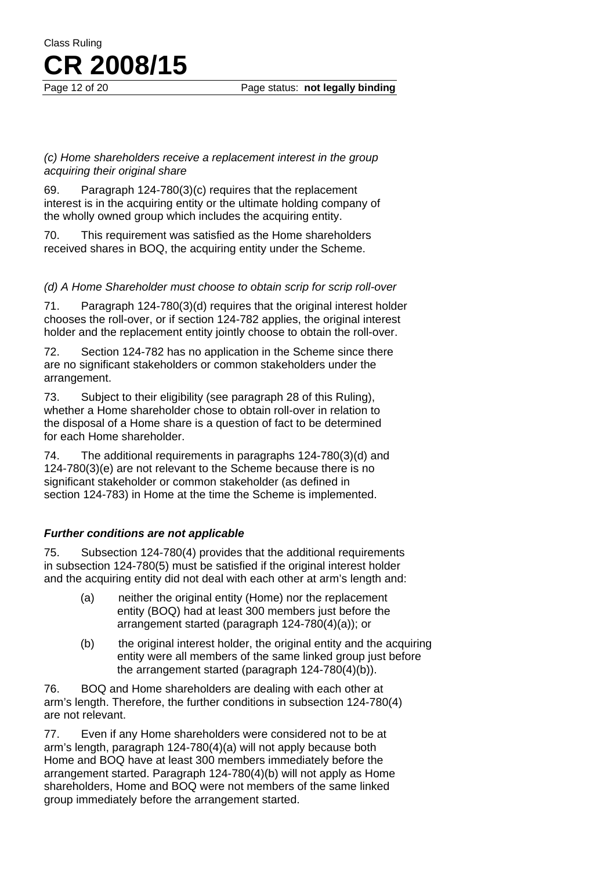#### Page 12 of 20 **Page status: not legally binding**

#### *(c) Home shareholders receive a replacement interest in the group acquiring their original share*

Class Ruling

**CR 2008/15**

69. Paragraph 124-780(3)(c) requires that the replacement interest is in the acquiring entity or the ultimate holding company of the wholly owned group which includes the acquiring entity.

70. This requirement was satisfied as the Home shareholders received shares in BOQ, the acquiring entity under the Scheme.

#### *(d) A Home Shareholder must choose to obtain scrip for scrip roll-over*

71. Paragraph 124-780(3)(d) requires that the original interest holder chooses the roll-over, or if section 124-782 applies, the original interest holder and the replacement entity jointly choose to obtain the roll-over.

72. Section 124-782 has no application in the Scheme since there are no significant stakeholders or common stakeholders under the arrangement.

73. Subject to their eligibility (see paragraph 28 of this Ruling), whether a Home shareholder chose to obtain roll-over in relation to the disposal of a Home share is a question of fact to be determined for each Home shareholder.

74. The additional requirements in paragraphs 124-780(3)(d) and 124-780(3)(e) are not relevant to the Scheme because there is no significant stakeholder or common stakeholder (as defined in section 124-783) in Home at the time the Scheme is implemented.

### *Further conditions are not applicable*

75. Subsection 124-780(4) provides that the additional requirements in subsection 124-780(5) must be satisfied if the original interest holder and the acquiring entity did not deal with each other at arm's length and:

- (a) neither the original entity (Home) nor the replacement entity (BOQ) had at least 300 members just before the arrangement started (paragraph 124-780(4)(a)); or
- (b) the original interest holder, the original entity and the acquiring entity were all members of the same linked group just before the arrangement started (paragraph 124-780(4)(b)).

76. BOQ and Home shareholders are dealing with each other at arm's length. Therefore, the further conditions in subsection 124-780(4) are not relevant.

77. Even if any Home shareholders were considered not to be at arm's length, paragraph 124-780(4)(a) will not apply because both Home and BOQ have at least 300 members immediately before the arrangement started. Paragraph 124-780(4)(b) will not apply as Home shareholders, Home and BOQ were not members of the same linked group immediately before the arrangement started.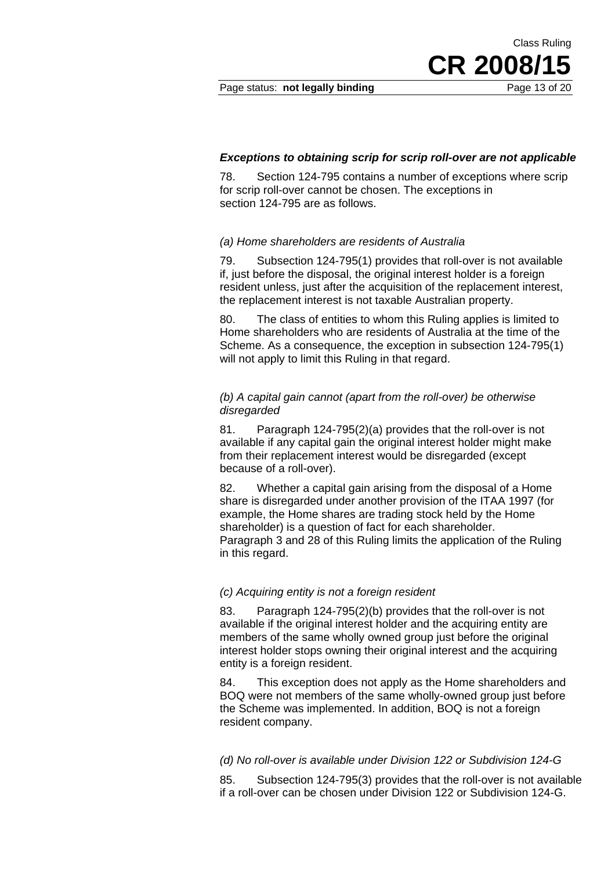Page status: **not legally binding** Page 13 of 20

CR 2008/

Class Ruling

#### *Exceptions to obtaining scrip for scrip roll-over are not applicable*

78. Section 124-795 contains a number of exceptions where scrip for scrip roll-over cannot be chosen. The exceptions in section 124-795 are as follows.

#### *(a) Home shareholders are residents of Australia*

79. Subsection 124-795(1) provides that roll-over is not available if, just before the disposal, the original interest holder is a foreign resident unless, just after the acquisition of the replacement interest, the replacement interest is not taxable Australian property.

80. The class of entities to whom this Ruling applies is limited to Home shareholders who are residents of Australia at the time of the Scheme. As a consequence, the exception in subsection 124-795(1) will not apply to limit this Ruling in that regard.

#### *(b) A capital gain cannot (apart from the roll-over) be otherwise disregarded*

81. Paragraph 124-795(2)(a) provides that the roll-over is not available if any capital gain the original interest holder might make from their replacement interest would be disregarded (except because of a roll-over).

82. Whether a capital gain arising from the disposal of a Home share is disregarded under another provision of the ITAA 1997 (for example, the Home shares are trading stock held by the Home shareholder) is a question of fact for each shareholder. Paragraph 3 and 28 of this Ruling limits the application of the Ruling in this regard.

#### *(c) Acquiring entity is not a foreign resident*

83. Paragraph 124-795(2)(b) provides that the roll-over is not available if the original interest holder and the acquiring entity are members of the same wholly owned group just before the original interest holder stops owning their original interest and the acquiring entity is a foreign resident.

84. This exception does not apply as the Home shareholders and BOQ were not members of the same wholly-owned group just before the Scheme was implemented. In addition, BOQ is not a foreign resident company.

#### *(d) No roll-over is available under Division 122 or Subdivision 124-G*

85. Subsection 124-795(3) provides that the roll-over is not available if a roll-over can be chosen under Division 122 or Subdivision 124-G.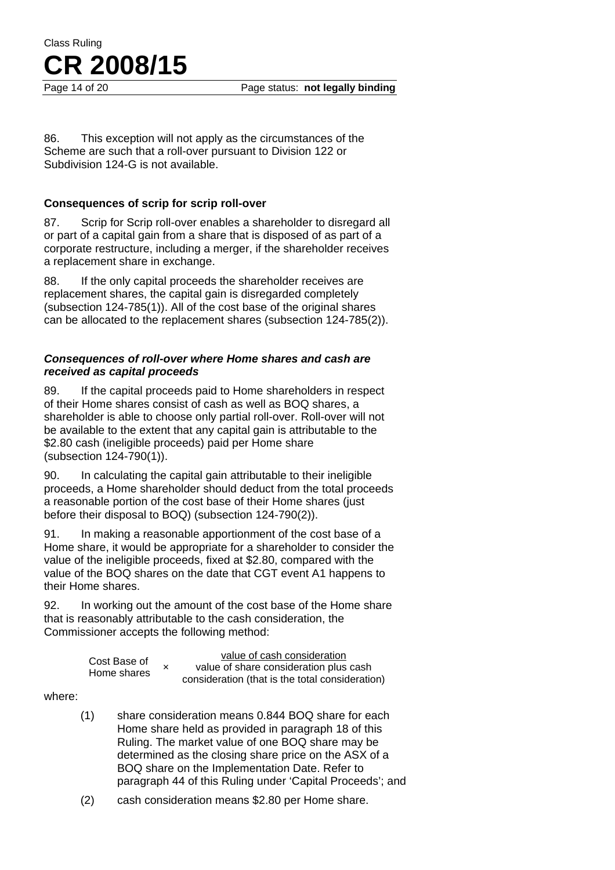Page 14 of 20 Page status: **not legally binding** 

86. This exception will not apply as the circumstances of the Scheme are such that a roll-over pursuant to Division 122 or Subdivision 124-G is not available.

#### **Consequences of scrip for scrip roll-over**

87. Scrip for Scrip roll-over enables a shareholder to disregard all or part of a capital gain from a share that is disposed of as part of a corporate restructure, including a merger, if the shareholder receives a replacement share in exchange.

88. If the only capital proceeds the shareholder receives are replacement shares, the capital gain is disregarded completely (subsection 124-785(1)). All of the cost base of the original shares can be allocated to the replacement shares (subsection 124-785(2)).

#### *Consequences of roll-over where Home shares and cash are received as capital proceeds*

89. If the capital proceeds paid to Home shareholders in respect of their Home shares consist of cash as well as BOQ shares, a shareholder is able to choose only partial roll-over. Roll-over will not be available to the extent that any capital gain is attributable to the \$2.80 cash (ineligible proceeds) paid per Home share (subsection 124-790(1)).

90. In calculating the capital gain attributable to their ineligible proceeds, a Home shareholder should deduct from the total proceeds a reasonable portion of the cost base of their Home shares (just before their disposal to BOQ) (subsection 124-790(2)).

91. In making a reasonable apportionment of the cost base of a Home share, it would be appropriate for a shareholder to consider the value of the ineligible proceeds, fixed at \$2.80, compared with the value of the BOQ shares on the date that CGT event A1 happens to their Home shares.

92. In working out the amount of the cost base of the Home share that is reasonably attributable to the cash consideration, the Commissioner accepts the following method:

|              |             | value of cash consideration                     |
|--------------|-------------|-------------------------------------------------|
| Cost Base of | Home shares | value of share consideration plus cash          |
|              |             | consideration (that is the total consideration) |

where:

- (1) share consideration means 0.844 BOQ share for each Home share held as provided in paragraph 18 of this Ruling. The market value of one BOQ share may be determined as the closing share price on the ASX of a BOQ share on the Implementation Date. Refer to paragraph 44 of this Ruling under 'Capital Proceeds'; and
- (2) cash consideration means \$2.80 per Home share.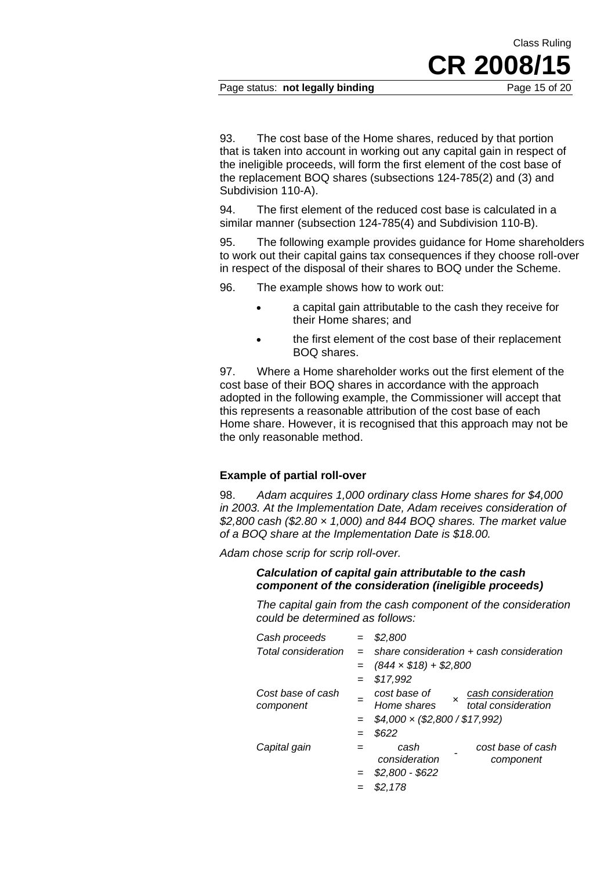Page status: **not legally binding** Page 15 of 20

CR 2008/

Class Ruling

93. The cost base of the Home shares, reduced by that portion that is taken into account in working out any capital gain in respect of the ineligible proceeds, will form the first element of the cost base of the replacement BOQ shares (subsections 124-785(2) and (3) and Subdivision 110-A).

94. The first element of the reduced cost base is calculated in a similar manner (subsection 124-785(4) and Subdivision 110-B).

95. The following example provides guidance for Home shareholders to work out their capital gains tax consequences if they choose roll-over in respect of the disposal of their shares to BOQ under the Scheme.

96. The example shows how to work out:

- a capital gain attributable to the cash they receive for their Home shares; and
- the first element of the cost base of their replacement BOQ shares.

97. Where a Home shareholder works out the first element of the cost base of their BOQ shares in accordance with the approach adopted in the following example, the Commissioner will accept that this represents a reasonable attribution of the cost base of each Home share. However, it is recognised that this approach may not be the only reasonable method.

#### **Example of partial roll-over**

98. *Adam acquires 1,000 ordinary class Home shares for \$4,000 in 2003. At the Implementation Date, Adam receives consideration of \$2,800 cash (\$2.80 × 1,000) and 844 BOQ shares. The market value of a BOQ share at the Implementation Date is \$18.00.* 

*Adam chose scrip for scrip roll-over.* 

*Calculation of capital gain attributable to the cash component of the consideration (ineligible proceeds)* 

*The capital gain from the cash component of the consideration could be determined as follows:* 

| Cash proceeds                  | $=$ | \$2,800                                                                      |  |  |
|--------------------------------|-----|------------------------------------------------------------------------------|--|--|
| Total consideration            | $=$ | share consideration + cash consideration                                     |  |  |
|                                |     | $=$ $(844 \times $18) + $2,800$                                              |  |  |
|                                | $=$ | \$17,992                                                                     |  |  |
| Cost base of cash<br>component |     | cost base of<br>cash consideration<br>Home shares $x$<br>total consideration |  |  |
|                                |     | $$4,000 \times ($2,800 / $17,992)$                                           |  |  |
|                                |     | \$622                                                                        |  |  |
| Capital gain                   |     | cost base of cash<br>cash<br>consideration<br>component                      |  |  |
|                                |     | $$2,800 - $622$                                                              |  |  |
|                                |     | \$2,178                                                                      |  |  |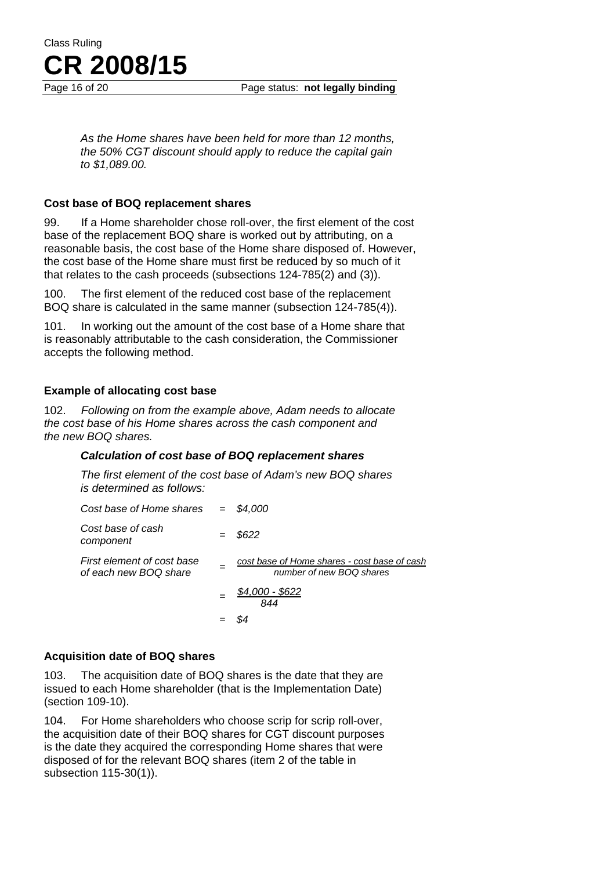

Page 16 of 20 **Page status: not legally binding** 

*As the Home shares have been held for more than 12 months, the 50% CGT discount should apply to reduce the capital gain to \$1,089.00.* 

#### **Cost base of BOQ replacement shares**

99. If a Home shareholder chose roll-over, the first element of the cost base of the replacement BOQ share is worked out by attributing, on a reasonable basis, the cost base of the Home share disposed of. However, the cost base of the Home share must first be reduced by so much of it that relates to the cash proceeds (subsections 124-785(2) and (3)).

100. The first element of the reduced cost base of the replacement BOQ share is calculated in the same manner (subsection 124-785(4)).

101. In working out the amount of the cost base of a Home share that is reasonably attributable to the cash consideration, the Commissioner accepts the following method.

#### **Example of allocating cost base**

102. *Following on from the example above, Adam needs to allocate the cost base of his Home shares across the cash component and the new BOQ shares.* 

#### *Calculation of cost base of BOQ replacement shares*

*The first element of the cost base of Adam's new BOQ shares is determined as follows:* 

| Cost base of Home shares                            | $=$ \$4.000                                                              |
|-----------------------------------------------------|--------------------------------------------------------------------------|
| Cost base of cash<br>component                      | \$622                                                                    |
| First element of cost base<br>of each new BOQ share | cost base of Home shares - cost base of cash<br>number of new BOQ shares |
|                                                     | <u>\$4,000 - \$622</u><br>844                                            |
|                                                     |                                                                          |

#### **Acquisition date of BOQ shares**

103. The acquisition date of BOQ shares is the date that they are issued to each Home shareholder (that is the Implementation Date) (section 109-10).

104. For Home shareholders who choose scrip for scrip roll-over, the acquisition date of their BOQ shares for CGT discount purposes is the date they acquired the corresponding Home shares that were disposed of for the relevant BOQ shares (item 2 of the table in subsection 115-30(1)).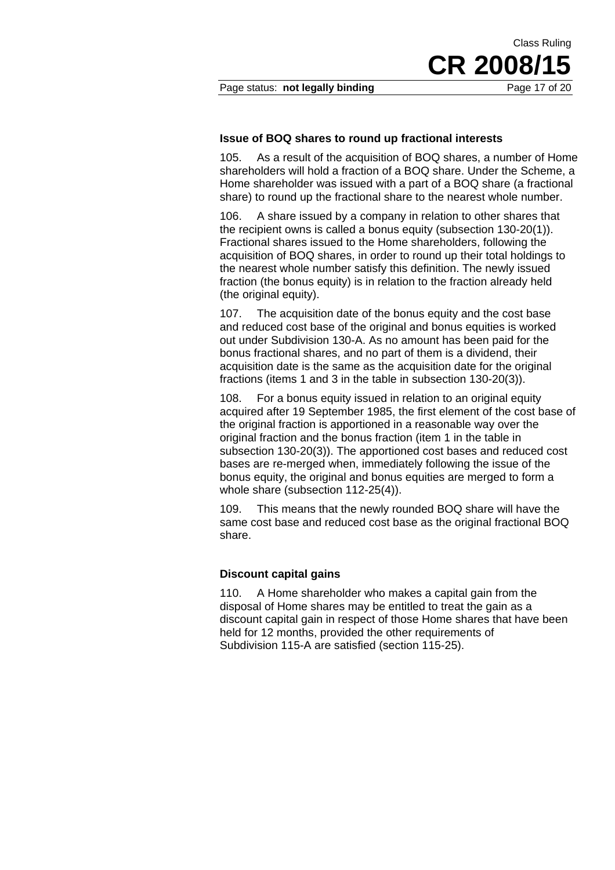Page status: **not legally binding** Page 17 of 20

CR 2008/

Class Ruling

#### **Issue of BOQ shares to round up fractional interests**

105. As a result of the acquisition of BOQ shares, a number of Home shareholders will hold a fraction of a BOQ share. Under the Scheme, a Home shareholder was issued with a part of a BOQ share (a fractional share) to round up the fractional share to the nearest whole number.

106. A share issued by a company in relation to other shares that the recipient owns is called a bonus equity (subsection 130-20(1)). Fractional shares issued to the Home shareholders, following the acquisition of BOQ shares, in order to round up their total holdings to the nearest whole number satisfy this definition. The newly issued fraction (the bonus equity) is in relation to the fraction already held (the original equity).

107. The acquisition date of the bonus equity and the cost base and reduced cost base of the original and bonus equities is worked out under Subdivision 130-A. As no amount has been paid for the bonus fractional shares, and no part of them is a dividend, their acquisition date is the same as the acquisition date for the original fractions (items 1 and 3 in the table in subsection 130-20(3)).

108. For a bonus equity issued in relation to an original equity acquired after 19 September 1985, the first element of the cost base of the original fraction is apportioned in a reasonable way over the original fraction and the bonus fraction (item 1 in the table in subsection 130-20(3)). The apportioned cost bases and reduced cost bases are re-merged when, immediately following the issue of the bonus equity, the original and bonus equities are merged to form a whole share (subsection 112-25(4)).

109. This means that the newly rounded BOQ share will have the same cost base and reduced cost base as the original fractional BOQ share.

#### **Discount capital gains**

110. A Home shareholder who makes a capital gain from the disposal of Home shares may be entitled to treat the gain as a discount capital gain in respect of those Home shares that have been held for 12 months, provided the other requirements of Subdivision 115-A are satisfied (section 115-25).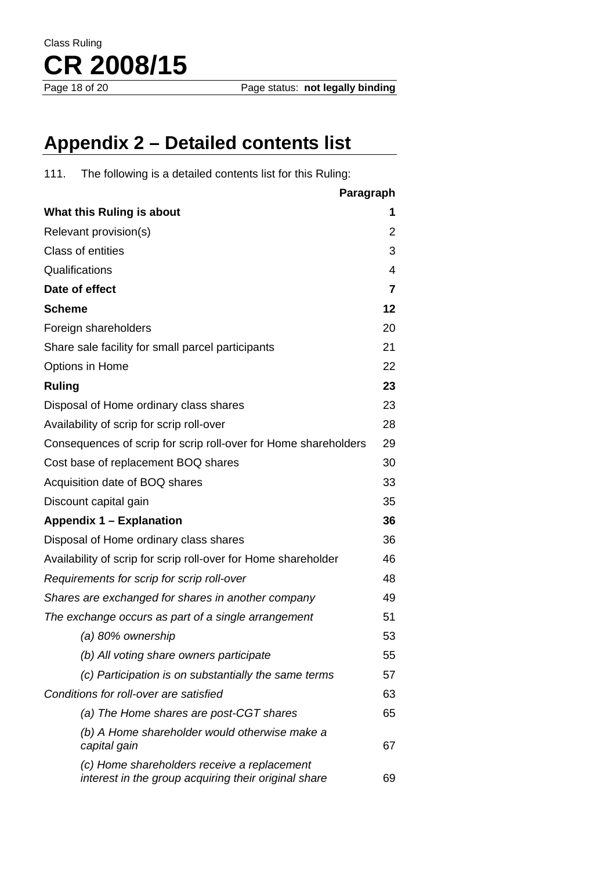

### **Appendix 2 – Detailed contents list**

111. The following is a detailed contents list for this Ruling:

| Paragraph                                                                                           |    |
|-----------------------------------------------------------------------------------------------------|----|
| What this Ruling is about                                                                           | 1  |
| Relevant provision(s)                                                                               | 2  |
| <b>Class of entities</b>                                                                            | 3  |
| Qualifications                                                                                      | 4  |
| Date of effect                                                                                      | 7  |
| <b>Scheme</b>                                                                                       | 12 |
| Foreign shareholders                                                                                | 20 |
| Share sale facility for small parcel participants                                                   | 21 |
| Options in Home                                                                                     | 22 |
| <b>Ruling</b>                                                                                       | 23 |
| Disposal of Home ordinary class shares                                                              | 23 |
| Availability of scrip for scrip roll-over                                                           | 28 |
| Consequences of scrip for scrip roll-over for Home shareholders                                     | 29 |
| Cost base of replacement BOQ shares                                                                 | 30 |
| Acquisition date of BOQ shares                                                                      | 33 |
| Discount capital gain                                                                               | 35 |
| Appendix 1 - Explanation                                                                            | 36 |
| Disposal of Home ordinary class shares                                                              | 36 |
| Availability of scrip for scrip roll-over for Home shareholder                                      | 46 |
| Requirements for scrip for scrip roll-over                                                          | 48 |
| Shares are exchanged for shares in another company                                                  | 49 |
| The exchange occurs as part of a single arrangement                                                 | 51 |
| (a) 80% ownership                                                                                   | 53 |
| (b) All voting share owners participate                                                             | 55 |
| (c) Participation is on substantially the same terms                                                | 57 |
| Conditions for roll-over are satisfied                                                              | 63 |
| (a) The Home shares are post-CGT shares                                                             | 65 |
| (b) A Home shareholder would otherwise make a<br>capital gain                                       | 67 |
| (c) Home shareholders receive a replacement<br>interest in the group acquiring their original share | 69 |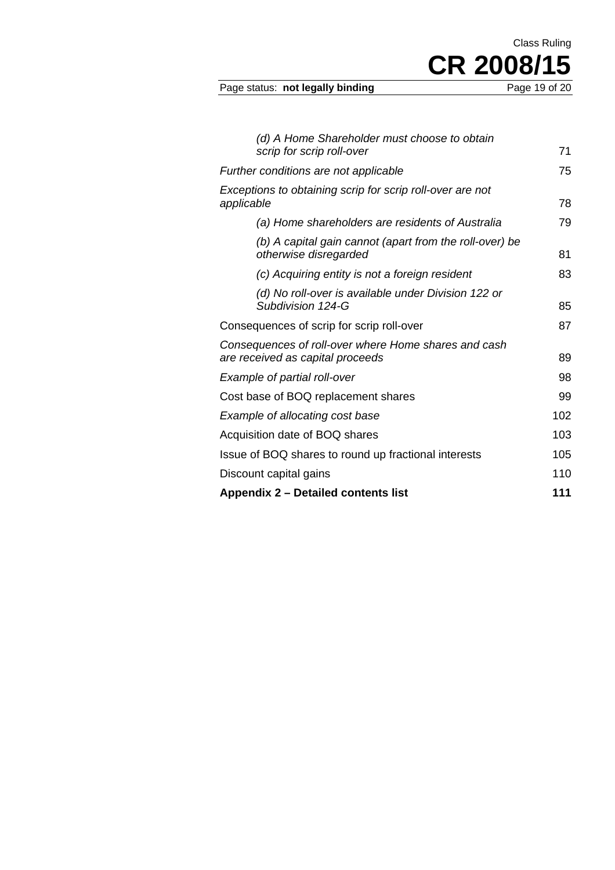Page status: not legally binding

CR 2008/15

Class Ruling

| (d) A Home Shareholder must choose to obtain                                             |     |
|------------------------------------------------------------------------------------------|-----|
| scrip for scrip roll-over                                                                | 71  |
| Further conditions are not applicable                                                    | 75  |
| Exceptions to obtaining scrip for scrip roll-over are not<br>applicable                  | 78  |
| (a) Home shareholders are residents of Australia                                         | 79  |
| (b) A capital gain cannot (apart from the roll-over) be<br>otherwise disregarded         | 81  |
| (c) Acquiring entity is not a foreign resident                                           | 83  |
| (d) No roll-over is available under Division 122 or<br>Subdivision 124-G                 | 85  |
| Consequences of scrip for scrip roll-over                                                | 87  |
| Consequences of roll-over where Home shares and cash<br>are received as capital proceeds | 89  |
| Example of partial roll-over                                                             | 98  |
| Cost base of BOQ replacement shares                                                      | 99  |
| Example of allocating cost base                                                          | 102 |
| Acquisition date of BOQ shares                                                           | 103 |
| Issue of BOQ shares to round up fractional interests                                     | 105 |
| Discount capital gains                                                                   | 110 |
| <b>Appendix 2 – Detailed contents list</b>                                               | 111 |